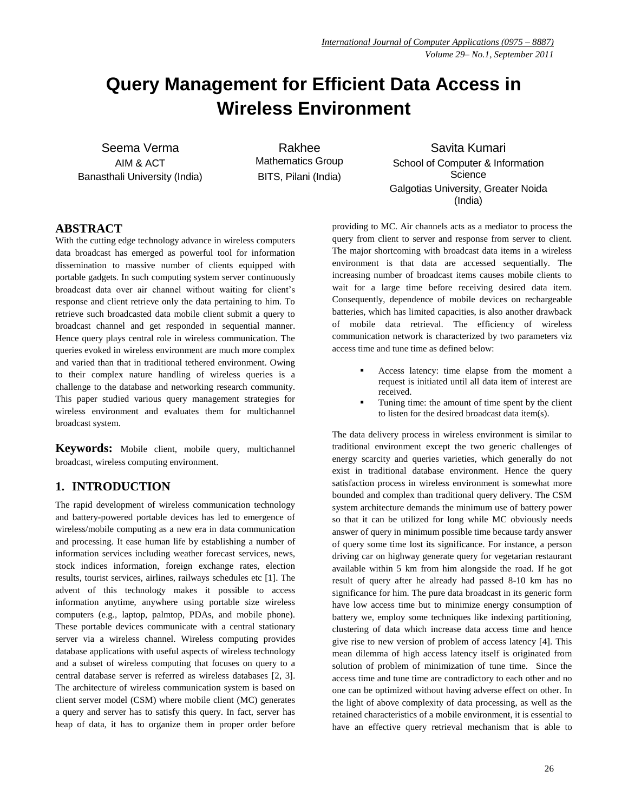# **Query Management for Efficient Data Access in Wireless Environment**

Seema Verma AIM & ACT Banasthali University (India)

Rakhee Mathematics Group BITS, Pilani (India)

Savita Kumari School of Computer & Information **Science** Galgotias University, Greater Noida (India)

## **ABSTRACT**

With the cutting edge technology advance in wireless computers data broadcast has emerged as powerful tool for information dissemination to massive number of clients equipped with portable gadgets. In such computing system server continuously broadcast data over air channel without waiting for client's response and client retrieve only the data pertaining to him. To retrieve such broadcasted data mobile client submit a query to broadcast channel and get responded in sequential manner. Hence query plays central role in wireless communication. The queries evoked in wireless environment are much more complex and varied than that in traditional tethered environment. Owing to their complex nature handling of wireless queries is a challenge to the database and networking research community. This paper studied various query management strategies for wireless environment and evaluates them for multichannel broadcast system.

**Keywords:** Mobile client, mobile query, multichannel broadcast, wireless computing environment.

# **1. INTRODUCTION**

The rapid development of wireless communication technology and battery-powered portable devices has led to emergence of wireless/mobile computing as a new era in data communication and processing. It ease human life by establishing a number of information services including weather forecast services, news, stock indices information, foreign exchange rates, election results, tourist services, airlines, railways schedules etc [1]. The advent of this technology makes it possible to access information anytime, anywhere using portable size wireless computers (e.g., laptop, palmtop, PDAs, and mobile phone). These portable devices communicate with a central stationary server via a wireless channel. Wireless computing provides database applications with useful aspects of wireless technology and a subset of wireless computing that focuses on query to a central database server is referred as wireless databases [2, 3]. The architecture of wireless communication system is based on client server model (CSM) where mobile client (MC) generates a query and server has to satisfy this query. In fact, server has heap of data, it has to organize them in proper order before

providing to MC. Air channels acts as a mediator to process the query from client to server and response from server to client. The major shortcoming with broadcast data items in a wireless environment is that data are accessed sequentially. The increasing number of broadcast items causes mobile clients to wait for a large time before receiving desired data item. Consequently, dependence of mobile devices on rechargeable batteries, which has limited capacities, is also another drawback of mobile data retrieval. The efficiency of wireless communication network is characterized by two parameters viz access time and tune time as defined below:

- Access latency: time elapse from the moment a request is initiated until all data item of interest are received.
- Tuning time: the amount of time spent by the client to listen for the desired broadcast data item(s).

The data delivery process in wireless environment is similar to traditional environment except the two generic challenges of energy scarcity and queries varieties, which generally do not exist in traditional database environment. Hence the query satisfaction process in wireless environment is somewhat more bounded and complex than traditional query delivery. The CSM system architecture demands the minimum use of battery power so that it can be utilized for long while MC obviously needs answer of query in minimum possible time because tardy answer of query some time lost its significance. For instance, a person driving car on highway generate query for vegetarian restaurant available within 5 km from him alongside the road. If he got result of query after he already had passed 8-10 km has no significance for him. The pure data broadcast in its generic form have low access time but to minimize energy consumption of battery we, employ some techniques like indexing partitioning, clustering of data which increase data access time and hence give rise to new version of problem of access latency [4]. This mean dilemma of high access latency itself is originated from solution of problem of minimization of tune time. Since the access time and tune time are contradictory to each other and no one can be optimized without having adverse effect on other. In the light of above complexity of data processing, as well as the retained characteristics of a mobile environment, it is essential to have an effective query retrieval mechanism that is able to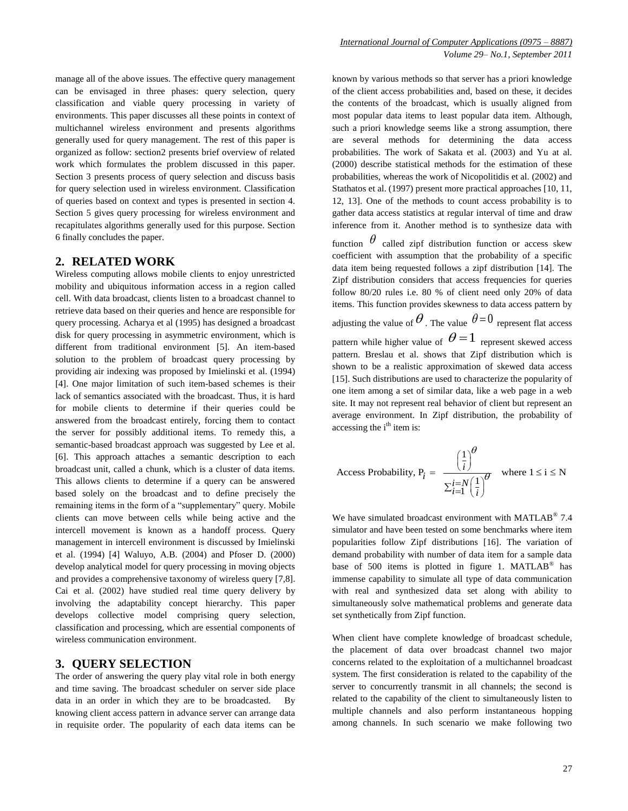manage all of the above issues. The effective query management can be envisaged in three phases: query selection, query classification and viable query processing in variety of environments. This paper discusses all these points in context of multichannel wireless environment and presents algorithms generally used for query management. The rest of this paper is organized as follow: section2 presents brief overview of related work which formulates the problem discussed in this paper. Section 3 presents process of query selection and discuss basis for query selection used in wireless environment. Classification of queries based on context and types is presented in section 4. Section 5 gives query processing for wireless environment and recapitulates algorithms generally used for this purpose. Section 6 finally concludes the paper.

#### **2. RELATED WORK**

Wireless computing allows mobile clients to enjoy unrestricted mobility and ubiquitous information access in a region called cell. With data broadcast, clients listen to a broadcast channel to retrieve data based on their queries and hence are responsible for query processing. Acharya et al (1995) has designed a broadcast disk for query processing in asymmetric environment, which is different from traditional environment [5]. An item-based solution to the problem of broadcast query processing by providing air indexing was proposed by Imielinski et al. (1994) [4]. One major limitation of such item-based schemes is their lack of semantics associated with the broadcast. Thus, it is hard for mobile clients to determine if their queries could be answered from the broadcast entirely, forcing them to contact the server for possibly additional items. To remedy this, a semantic-based broadcast approach was suggested by Lee et al. [6]. This approach attaches a semantic description to each broadcast unit, called a chunk, which is a cluster of data items. This allows clients to determine if a query can be answered based solely on the broadcast and to define precisely the remaining items in the form of a "supplementary" query. Mobile clients can move between cells while being active and the intercell movement is known as a handoff process. Query management in intercell environment is discussed by Imielinski et al. (1994) [4] Waluyo, A.B. (2004) and Pfoser D. (2000) develop analytical model for query processing in moving objects and provides a comprehensive taxonomy of wireless query [7,8]. Cai et al. (2002) have studied real time query delivery by involving the adaptability concept hierarchy. This paper develops collective model comprising query selection, classification and processing, which are essential components of wireless communication environment.

## **3. QUERY SELECTION**

The order of answering the query play vital role in both energy and time saving. The broadcast scheduler on server side place data in an order in which they are to be broadcasted. By knowing client access pattern in advance server can arrange data in requisite order. The popularity of each data items can be known by various methods so that server has a priori knowledge of the client access probabilities and, based on these, it decides the contents of the broadcast, which is usually aligned from most popular data items to least popular data item. Although, such a priori knowledge seems like a strong assumption, there are several methods for determining the data access probabilities. The work of Sakata et al. (2003) and Yu at al. (2000) describe statistical methods for the estimation of these probabilities, whereas the work of Nicopolitidis et al. (2002) and Stathatos et al. (1997) present more practical approaches [10, 11, 12, 13]. One of the methods to count access probability is to gather data access statistics at regular interval of time and draw inference from it. Another method is to synthesize data with

function  $\theta$  called zipf distribution function or access skew coefficient with assumption that the probability of a specific data item being requested follows a zipf distribution [14]. The Zipf distribution considers that access frequencies for queries follow 80/20 rules i.e. 80 % of client need only 20% of data items. This function provides skewness to data access pattern by adjusting the value of  $\theta$ . The value  $\theta = 0$  represent flat access pattern while higher value of  $\theta = 1$  represent skewed access pattern. Breslau et al. shows that Zipf distribution which is shown to be a realistic approximation of skewed data access [15]. Such distributions are used to characterize the popularity of one item among a set of similar data, like a web page in a web site. It may not represent real behavior of client but represent an average environment. In Zipf distribution, the probability of accessing the i<sup>th</sup> item is:

Access Probability, 
$$
P_i = \frac{\left(\frac{1}{i}\right)^{\theta}}{\sum_{i=1}^{i=N} \left(\frac{1}{i}\right)^{\theta}}
$$
 where  $1 \le i \le N$ 

We have simulated broadcast environment with MATLAB<sup>®</sup> 7.4 simulator and have been tested on some benchmarks where item popularities follow Zipf distributions [16]. The variation of demand probability with number of data item for a sample data base of 500 items is plotted in figure 1.  $MATLAB^@$  has immense capability to simulate all type of data communication with real and synthesized data set along with ability to simultaneously solve mathematical problems and generate data set synthetically from Zipf function.

When client have complete knowledge of broadcast schedule, the placement of data over broadcast channel two major concerns related to the exploitation of a multichannel broadcast system. The first consideration is related to the capability of the server to concurrently transmit in all channels; the second is related to the capability of the client to simultaneously listen to multiple channels and also perform instantaneous hopping among channels. In such scenario we make following two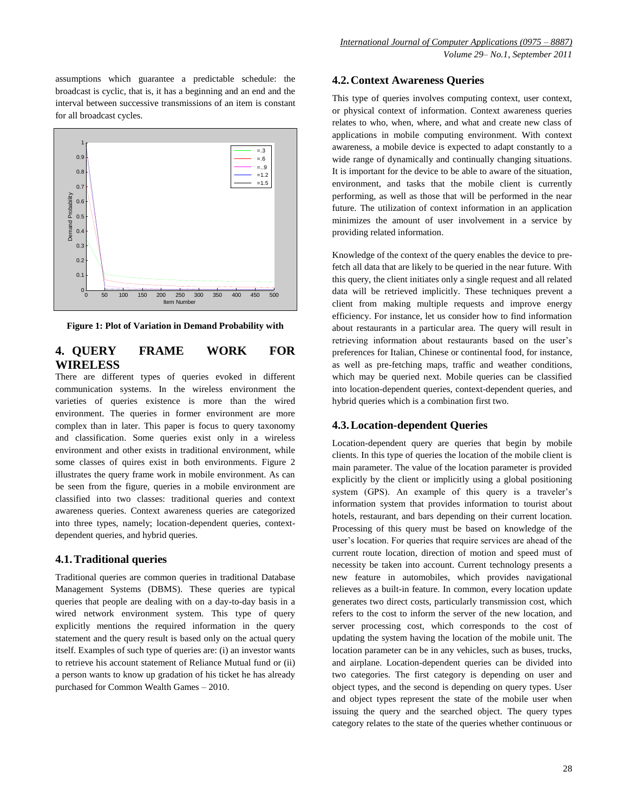assumptions which guarantee a predictable schedule: the broadcast is cyclic, that is, it has a beginning and an end and the interval between successive transmissions of an item is constant for all broadcast cycles.



**Figure 1: Plot of Variation in Demand Probability with** 

# **4. QUERY FRAME WORK FOR WIRELESS**

There are different types of queries evoked in different communication systems. In the wireless environment the varieties of queries existence is more than the wired environment. The queries in former environment are more complex than in later. This paper is focus to query taxonomy and classification. Some queries exist only in a wireless environment and other exists in traditional environment, while some classes of quires exist in both environments. Figure 2 illustrates the query frame work in mobile environment. As can be seen from the figure, queries in a mobile environment are classified into two classes: traditional queries and context awareness queries. Context awareness queries are categorized into three types, namely; location-dependent queries, contextdependent queries, and hybrid queries.

#### **4.1.Traditional queries**

Traditional queries are common queries in traditional Database Management Systems (DBMS). These queries are typical queries that people are dealing with on a day-to-day basis in a wired network environment system. This type of query explicitly mentions the required information in the query statement and the query result is based only on the actual query itself. Examples of such type of queries are: (i) an investor wants to retrieve his account statement of Reliance Mutual fund or (ii) a person wants to know up gradation of his ticket he has already purchased for Common Wealth Games – 2010.

#### **4.2.Context Awareness Queries**

This type of queries involves computing context, user context, or physical context of information. Context awareness queries relates to who, when, where, and what and create new class of applications in mobile computing environment. With context awareness, a mobile device is expected to adapt constantly to a wide range of dynamically and continually changing situations. It is important for the device to be able to aware of the situation, environment, and tasks that the mobile client is currently performing, as well as those that will be performed in the near future. The utilization of context information in an application minimizes the amount of user involvement in a service by providing related information.

Knowledge of the context of the query enables the device to prefetch all data that are likely to be queried in the near future. With this query, the client initiates only a single request and all related data will be retrieved implicitly. These techniques prevent a client from making multiple requests and improve energy efficiency. For instance, let us consider how to find information about restaurants in a particular area. The query will result in retrieving information about restaurants based on the user's preferences for Italian, Chinese or continental food, for instance, as well as pre-fetching maps, traffic and weather conditions, which may be queried next. Mobile queries can be classified into location-dependent queries, context-dependent queries, and hybrid queries which is a combination first two.

#### **4.3.Location-dependent Queries**

Location-dependent query are queries that begin by mobile clients. In this type of queries the location of the mobile client is main parameter. The value of the location parameter is provided explicitly by the client or implicitly using a global positioning system (GPS). An example of this query is a traveler's information system that provides information to tourist about hotels, restaurant, and bars depending on their current location. Processing of this query must be based on knowledge of the user's location. For queries that require services are ahead of the current route location, direction of motion and speed must of necessity be taken into account. Current technology presents a new feature in automobiles, which provides navigational relieves as a built-in feature. In common, every location update generates two direct costs, particularly transmission cost, which refers to the cost to inform the server of the new location, and server processing cost, which corresponds to the cost of updating the system having the location of the mobile unit. The location parameter can be in any vehicles, such as buses, trucks, and airplane. Location-dependent queries can be divided into two categories. The first category is depending on user and object types, and the second is depending on query types. User and object types represent the state of the mobile user when issuing the query and the searched object. The query types category relates to the state of the queries whether continuous or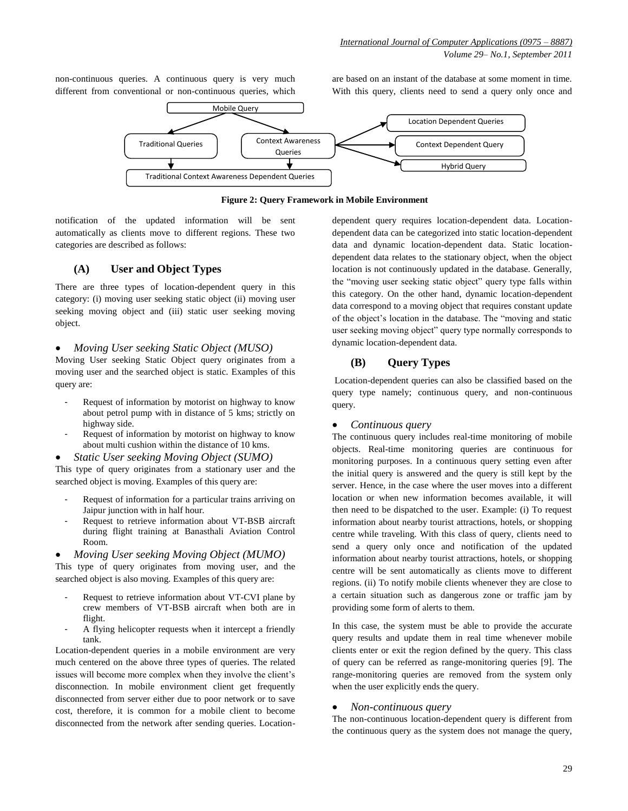non-continuous queries. A continuous query is very much different from conventional or non-continuous queries, which are based on an instant of the database at some moment in time. With this query, clients need to send a query only once and



**Figure 2: Query Framework in Mobile Environment**

notification of the updated information will be sent automatically as clients move to different regions. These two categories are described as follows:

## **(A) User and Object Types**

There are three types of location-dependent query in this category: (i) moving user seeking static object (ii) moving user seeking moving object and (iii) static user seeking moving object.

#### *Moving User seeking Static Object (MUSO)*

Moving User seeking Static Object query originates from a moving user and the searched object is static. Examples of this query are:

- Request of information by motorist on highway to know about petrol pump with in distance of 5 kms; strictly on highway side.
- Request of information by motorist on highway to know about multi cushion within the distance of 10 kms.
- *Static User seeking Moving Object (SUMO)*

This type of query originates from a stationary user and the searched object is moving. Examples of this query are:

- Request of information for a particular trains arriving on Jaipur junction with in half hour.
- Request to retrieve information about VT-BSB aircraft during flight training at Banasthali Aviation Control Room.
- *Moving User seeking Moving Object (MUMO)*

This type of query originates from moving user, and the searched object is also moving. Examples of this query are:

- Request to retrieve information about VT-CVI plane by crew members of VT-BSB aircraft when both are in flight.
- A flying helicopter requests when it intercept a friendly tank.

Location-dependent queries in a mobile environment are very much centered on the above three types of queries. The related issues will become more complex when they involve the client's disconnection. In mobile environment client get frequently disconnected from server either due to poor network or to save cost, therefore, it is common for a mobile client to become disconnected from the network after sending queries. Locationdependent query requires location-dependent data. Locationdependent data can be categorized into static location-dependent data and dynamic location-dependent data. Static locationdependent data relates to the stationary object, when the object location is not continuously updated in the database. Generally, the "moving user seeking static object" query type falls within this category. On the other hand, dynamic location-dependent data correspond to a moving object that requires constant update of the object's location in the database. The "moving and static user seeking moving object" query type normally corresponds to dynamic location-dependent data.

## **(B) Query Types**

Location-dependent queries can also be classified based on the query type namely; continuous query, and non-continuous query.

## *Continuous query*

The continuous query includes real-time monitoring of mobile objects. Real-time monitoring queries are continuous for monitoring purposes. In a continuous query setting even after the initial query is answered and the query is still kept by the server. Hence, in the case where the user moves into a different location or when new information becomes available, it will then need to be dispatched to the user. Example: (i) To request information about nearby tourist attractions, hotels, or shopping centre while traveling. With this class of query, clients need to send a query only once and notification of the updated information about nearby tourist attractions, hotels, or shopping centre will be sent automatically as clients move to different regions. (ii) To notify mobile clients whenever they are close to a certain situation such as dangerous zone or traffic jam by providing some form of alerts to them.

In this case, the system must be able to provide the accurate query results and update them in real time whenever mobile clients enter or exit the region defined by the query. This class of query can be referred as range-monitoring queries [9]. The range-monitoring queries are removed from the system only when the user explicitly ends the query.

## *Non-continuous query*

The non-continuous location-dependent query is different from the continuous query as the system does not manage the query,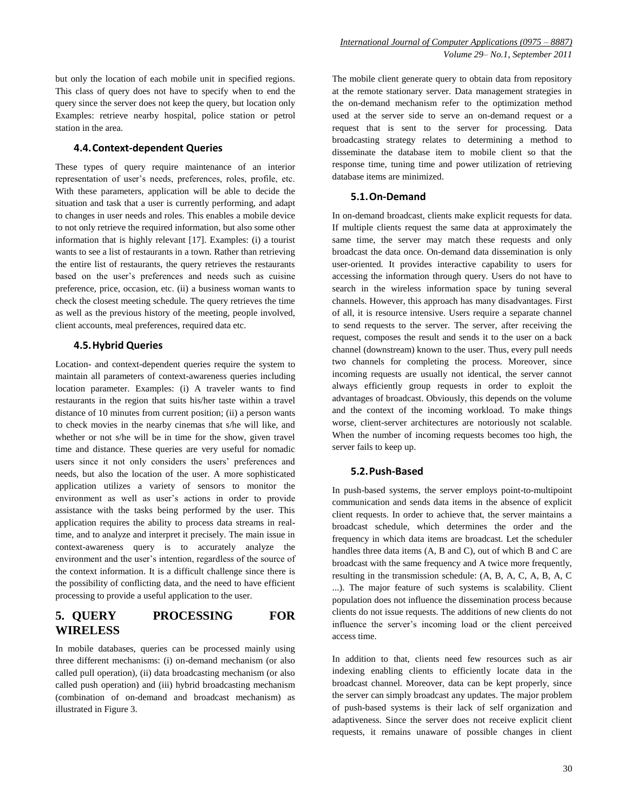but only the location of each mobile unit in specified regions. This class of query does not have to specify when to end the query since the server does not keep the query, but location only Examples: retrieve nearby hospital, police station or petrol station in the area.

#### **4.4.Context-dependent Queries**

These types of query require maintenance of an interior representation of user's needs, preferences, roles, profile, etc. With these parameters, application will be able to decide the situation and task that a user is currently performing, and adapt to changes in user needs and roles. This enables a mobile device to not only retrieve the required information, but also some other information that is highly relevant [17]. Examples: (i) a tourist wants to see a list of restaurants in a town. Rather than retrieving the entire list of restaurants, the query retrieves the restaurants based on the user's preferences and needs such as cuisine preference, price, occasion, etc. (ii) a business woman wants to check the closest meeting schedule. The query retrieves the time as well as the previous history of the meeting, people involved, client accounts, meal preferences, required data etc.

#### **4.5.Hybrid Queries**

Location- and context-dependent queries require the system to maintain all parameters of context-awareness queries including location parameter. Examples: (i) A traveler wants to find restaurants in the region that suits his/her taste within a travel distance of 10 minutes from current position; (ii) a person wants to check movies in the nearby cinemas that s/he will like, and whether or not s/he will be in time for the show, given travel time and distance. These queries are very useful for nomadic users since it not only considers the users' preferences and needs, but also the location of the user. A more sophisticated application utilizes a variety of sensors to monitor the environment as well as user's actions in order to provide assistance with the tasks being performed by the user. This application requires the ability to process data streams in realtime, and to analyze and interpret it precisely. The main issue in context-awareness query is to accurately analyze the environment and the user's intention, regardless of the source of the context information. It is a difficult challenge since there is the possibility of conflicting data, and the need to have efficient processing to provide a useful application to the user.

## **5. QUERY PROCESSING FOR WIRELESS**

In mobile databases, queries can be processed mainly using three different mechanisms: (i) on-demand mechanism (or also called pull operation), (ii) data broadcasting mechanism (or also called push operation) and (iii) hybrid broadcasting mechanism (combination of on-demand and broadcast mechanism) as illustrated in Figure 3.

The mobile client generate query to obtain data from repository at the remote stationary server. Data management strategies in the on-demand mechanism refer to the optimization method used at the server side to serve an on-demand request or a request that is sent to the server for processing. Data broadcasting strategy relates to determining a method to disseminate the database item to mobile client so that the response time, tuning time and power utilization of retrieving database items are minimized.

#### **5.1.On-Demand**

In on-demand broadcast, clients make explicit requests for data. If multiple clients request the same data at approximately the same time, the server may match these requests and only broadcast the data once. On-demand data dissemination is only user-oriented. It provides interactive capability to users for accessing the information through query. Users do not have to search in the wireless information space by tuning several channels. However, this approach has many disadvantages. First of all, it is resource intensive. Users require a separate channel to send requests to the server. The server, after receiving the request, composes the result and sends it to the user on a back channel (downstream) known to the user. Thus, every pull needs two channels for completing the process. Moreover, since incoming requests are usually not identical, the server cannot always efficiently group requests in order to exploit the advantages of broadcast. Obviously, this depends on the volume and the context of the incoming workload. To make things worse, client-server architectures are notoriously not scalable. When the number of incoming requests becomes too high, the server fails to keep up.

#### **5.2.Push-Based**

In push-based systems, the server employs point-to-multipoint communication and sends data items in the absence of explicit client requests. In order to achieve that, the server maintains a broadcast schedule, which determines the order and the frequency in which data items are broadcast. Let the scheduler handles three data items (A, B and C), out of which B and C are broadcast with the same frequency and A twice more frequently, resulting in the transmission schedule: (A, B, A, C, A, B, A, C ...). The major feature of such systems is scalability. Client population does not influence the dissemination process because clients do not issue requests. The additions of new clients do not influence the server's incoming load or the client perceived access time.

In addition to that, clients need few resources such as air indexing enabling clients to efficiently locate data in the broadcast channel. Moreover, data can be kept properly, since the server can simply broadcast any updates. The major problem of push-based systems is their lack of self organization and adaptiveness. Since the server does not receive explicit client requests, it remains unaware of possible changes in client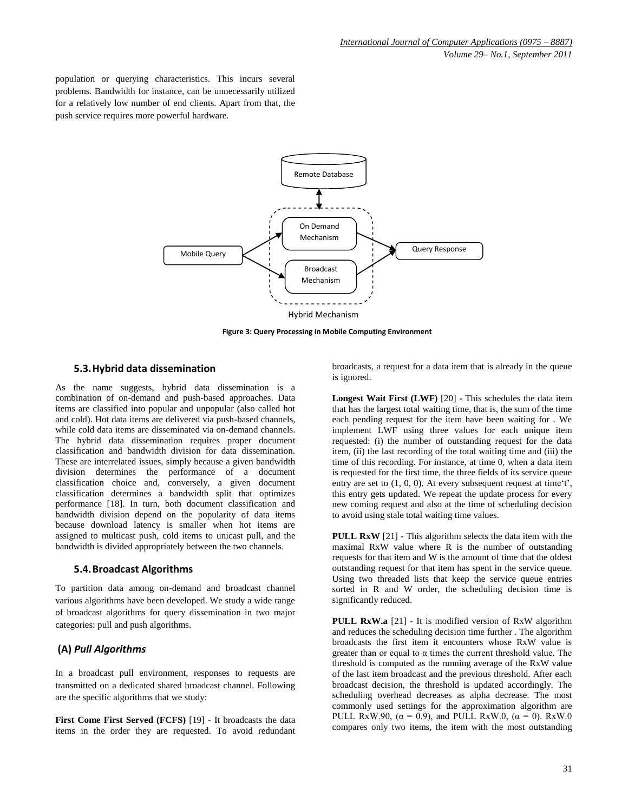population or querying characteristics. This incurs several problems. Bandwidth for instance, can be unnecessarily utilized for a relatively low number of end clients. Apart from that, the push service requires more powerful hardware.



**Figure 3: Query Processing in Mobile Computing Environment**

#### **5.3.Hybrid data dissemination**

As the name suggests, hybrid data dissemination is a combination of on-demand and push-based approaches. Data items are classified into popular and unpopular (also called hot and cold). Hot data items are delivered via push-based channels, while cold data items are disseminated via on-demand channels. The hybrid data dissemination requires proper document classification and bandwidth division for data dissemination. These are interrelated issues, simply because a given bandwidth division determines the performance of a document classification choice and, conversely, a given document classification determines a bandwidth split that optimizes performance [18]. In turn, both document classification and bandwidth division depend on the popularity of data items because download latency is smaller when hot items are assigned to multicast push, cold items to unicast pull, and the bandwidth is divided appropriately between the two channels.

#### **5.4.Broadcast Algorithms**

To partition data among on-demand and broadcast channel various algorithms have been developed. We study a wide range of broadcast algorithms for query dissemination in two major categories: pull and push algorithms.

#### **(A)** *Pull Algorithms*

In a broadcast pull environment, responses to requests are transmitted on a dedicated shared broadcast channel. Following are the specific algorithms that we study:

**First Come First Served (FCFS)** [19] - It broadcasts the data items in the order they are requested. To avoid redundant broadcasts, a request for a data item that is already in the queue is ignored.

**Longest Wait First (LWF)** [20] **-** This schedules the data item that has the largest total waiting time, that is, the sum of the time each pending request for the item have been waiting for . We implement LWF using three values for each unique item requested: (i) the number of outstanding request for the data item, (ii) the last recording of the total waiting time and (iii) the time of this recording. For instance, at time 0, when a data item is requested for the first time, the three fields of its service queue entry are set to  $(1, 0, 0)$ . At every subsequent request at time<sup> $\mathfrak{t}^{\prime}$ </sup>, this entry gets updated. We repeat the update process for every new coming request and also at the time of scheduling decision to avoid using stale total waiting time values.

**PULL RxW** [21] **-** This algorithm selects the data item with the maximal RxW value where R is the number of outstanding requests for that item and W is the amount of time that the oldest outstanding request for that item has spent in the service queue. Using two threaded lists that keep the service queue entries sorted in R and W order, the scheduling decision time is significantly reduced.

**PULL RxW.a** [21] **-** It is modified version of RxW algorithm and reduces the scheduling decision time further . The algorithm broadcasts the first item it encounters whose RxW value is greater than or equal to  $\alpha$  times the current threshold value. The threshold is computed as the running average of the RxW value of the last item broadcast and the previous threshold. After each broadcast decision, the threshold is updated accordingly. The scheduling overhead decreases as alpha decrease. The most commonly used settings for the approximation algorithm are PULL RxW.90,  $(\alpha = 0.9)$ , and PULL RxW.0,  $(\alpha = 0)$ . RxW.0 compares only two items, the item with the most outstanding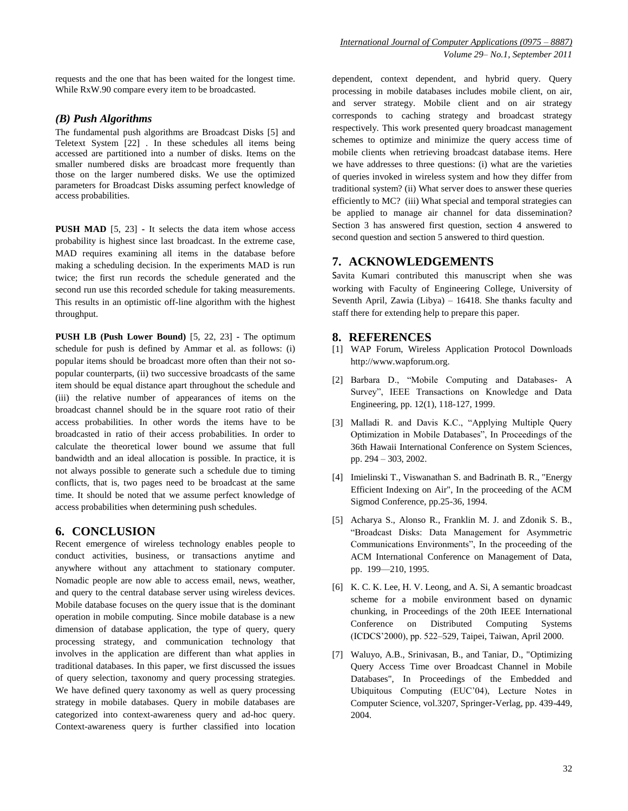requests and the one that has been waited for the longest time. While RxW.90 compare every item to be broadcasted.

#### *(B) Push Algorithms*

The fundamental push algorithms are Broadcast Disks [5] and Teletext System [22] . In these schedules all items being accessed are partitioned into a number of disks. Items on the smaller numbered disks are broadcast more frequently than those on the larger numbered disks. We use the optimized parameters for Broadcast Disks assuming perfect knowledge of access probabilities.

**PUSH MAD** [5, 23] **-** It selects the data item whose access probability is highest since last broadcast. In the extreme case, MAD requires examining all items in the database before making a scheduling decision. In the experiments MAD is run twice; the first run records the schedule generated and the second run use this recorded schedule for taking measurements. This results in an optimistic off-line algorithm with the highest throughput.

**PUSH LB (Push Lower Bound)** [5, 22, 23] **-** The optimum schedule for push is defined by Ammar et al. as follows: (i) popular items should be broadcast more often than their not sopopular counterparts, (ii) two successive broadcasts of the same item should be equal distance apart throughout the schedule and (iii) the relative number of appearances of items on the broadcast channel should be in the square root ratio of their access probabilities. In other words the items have to be broadcasted in ratio of their access probabilities. In order to calculate the theoretical lower bound we assume that full bandwidth and an ideal allocation is possible. In practice, it is not always possible to generate such a schedule due to timing conflicts, that is, two pages need to be broadcast at the same time. It should be noted that we assume perfect knowledge of access probabilities when determining push schedules.

#### **6. CONCLUSION**

Recent emergence of wireless technology enables people to conduct activities, business, or transactions anytime and anywhere without any attachment to stationary computer. Nomadic people are now able to access email, news, weather, and query to the central database server using wireless devices. Mobile database focuses on the query issue that is the dominant operation in mobile computing. Since mobile database is a new dimension of database application, the type of query, query processing strategy, and communication technology that involves in the application are different than what applies in traditional databases. In this paper, we first discussed the issues of query selection, taxonomy and query processing strategies. We have defined query taxonomy as well as query processing strategy in mobile databases. Query in mobile databases are categorized into context-awareness query and ad-hoc query. Context-awareness query is further classified into location dependent, context dependent, and hybrid query. Query processing in mobile databases includes mobile client, on air, and server strategy. Mobile client and on air strategy corresponds to caching strategy and broadcast strategy respectively. This work presented query broadcast management schemes to optimize and minimize the query access time of mobile clients when retrieving broadcast database items. Here we have addresses to three questions: (i) what are the varieties of queries invoked in wireless system and how they differ from traditional system? (ii) What server does to answer these queries efficiently to MC? (iii) What special and temporal strategies can be applied to manage air channel for data dissemination? Section 3 has answered first question, section 4 answered to second question and section 5 answered to third question.

#### **7. ACKNOWLEDGEMENTS**

Savita Kumari contributed this manuscript when she was working with Faculty of Engineering College, University of Seventh April, Zawia (Libya) – 16418. She thanks faculty and staff there for extending help to prepare this paper.

#### **8. REFERENCES**

- [1] WAP Forum, Wireless Application Protocol Downloads http://www.wapforum.org.
- [2] Barbara D., "Mobile Computing and Databases- A Survey", IEEE Transactions on Knowledge and Data Engineering, pp. 12(1), 118-127, 1999.
- [3] Malladi R. and Davis K.C., "Applying Multiple Query Optimization in Mobile Databases", In Proceedings of the 36th Hawaii International Conference on System Sciences, pp. 294 – 303, 2002.
- [4] Imielinski T., Viswanathan S. and Badrinath B. R., "Energy Efficient Indexing on Air", In the proceeding of the ACM Sigmod Conference, pp.25-36, 1994.
- [5] Acharya S., Alonso R., Franklin M. J. and Zdonik S. B., ―Broadcast Disks: Data Management for Asymmetric Communications Environments", In the proceeding of the ACM International Conference on Management of Data, pp. 199—210, 1995.
- [6] K. C. K. Lee, H. V. Leong, and A. Si, A semantic broadcast scheme for a mobile environment based on dynamic chunking, in Proceedings of the 20th IEEE International Conference on Distributed Computing Systems (ICDCS'2000), pp. 522–529, Taipei, Taiwan, April 2000.
- [7] Waluyo, A.B., Srinivasan, B., and Taniar, D., "Optimizing Query Access Time over Broadcast Channel in Mobile Databases", In Proceedings of the Embedded and Ubiquitous Computing (EUC'04), Lecture Notes in Computer Science, vol.3207, Springer-Verlag, pp. 439-449, 2004.